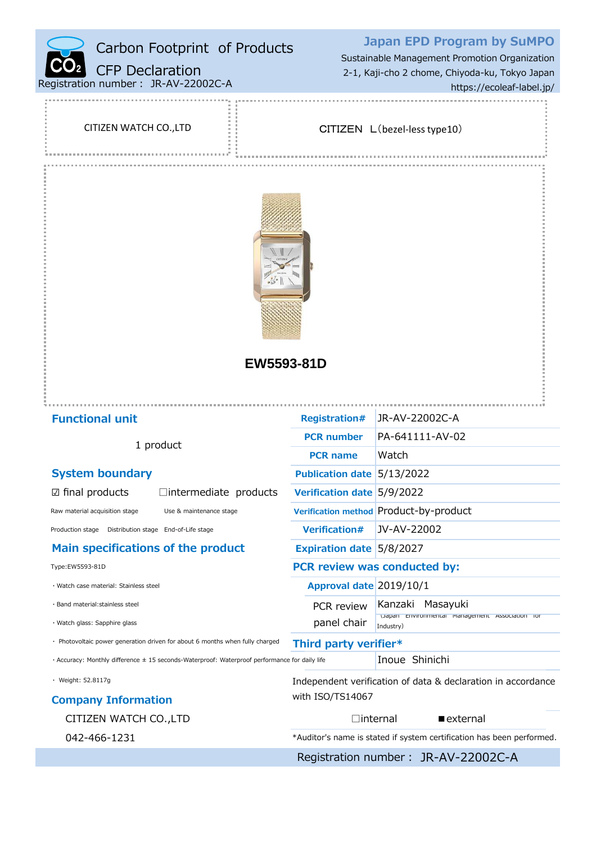